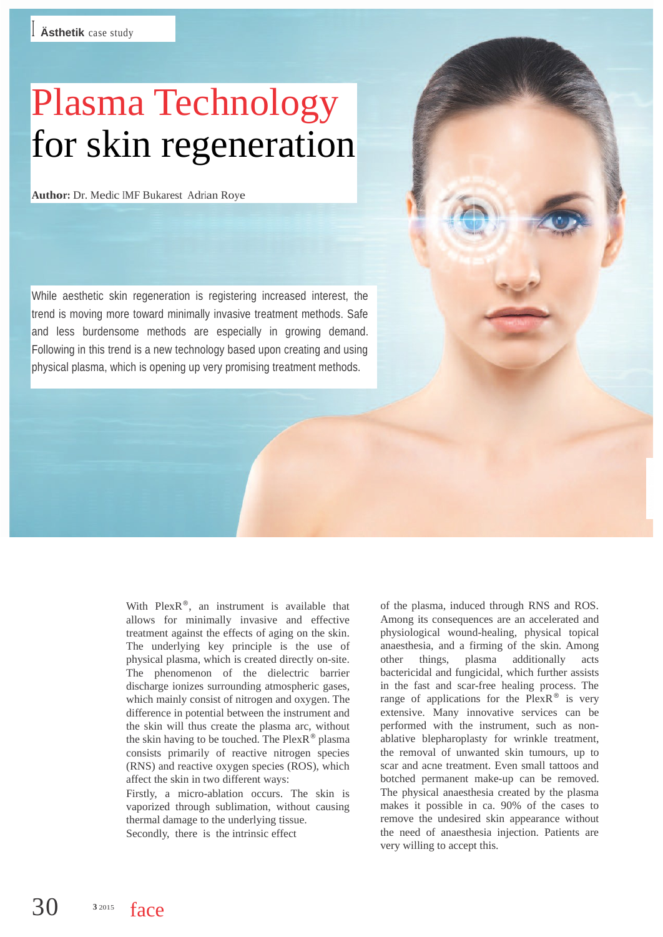# Plasma Technology for skin regeneration

**Author:** Dr. Medic IMF Bukarest Adrian Roye

While aesthetic skin regeneration is registering increased interest, the trend is moving more toward minimally invasive treatment methods. Safe and less burdensome methods are especially in growing demand. Following in this trend is a new technology based upon creating and using physical plasma, which is opening up very promising treatment methods.

> With  $PlexR^{\circledast}$ , an instrument is available that allows for minimally invasive and effective treatment against the effects of aging on the skin. The underlying key principle is the use of physical plasma, which is created directly on-site. The phenomenon of the dielectric barrier discharge ionizes surrounding atmospheric gases, which mainly consist of nitrogen and oxygen. The difference in potential between the instrument and the skin will thus create the plasma arc, without the skin having to be touched. The  $PlexR^{\otimes}$  plasma consists primarily of reactive nitrogen species (RNS) and reactive oxygen species (ROS), which affect the skin in two different ways:

Firstly, a micro-ablation occurs. The skin is vaporized through sublimation, without causing thermal damage to the underlying tissue. Secondly, there is the intrinsic effect

of the plasma, induced through RNS and ROS. Among its consequences are an accelerated and physiological wound-healing, physical topical anaesthesia, and a firming of the skin. Among other things, plasma additionally acts bactericidal and fungicidal, which further assists in the fast and scar-free healing process. The range of applications for the  $PlexR^{\otimes}$  is very extensive. Many innovative services can be performed with the instrument, such as nonablative blepharoplasty for wrinkle treatment, the removal of unwanted skin tumours, up to scar and acne treatment. Even small tattoos and botched permanent make-up can be removed. The physical anaesthesia created by the plasma makes it possible in ca. 90% of the cases to remove the undesired skin appearance without the need of anaesthesia injection. Patients are very willing to accept this.

 $3 \Omega$  3 2015 face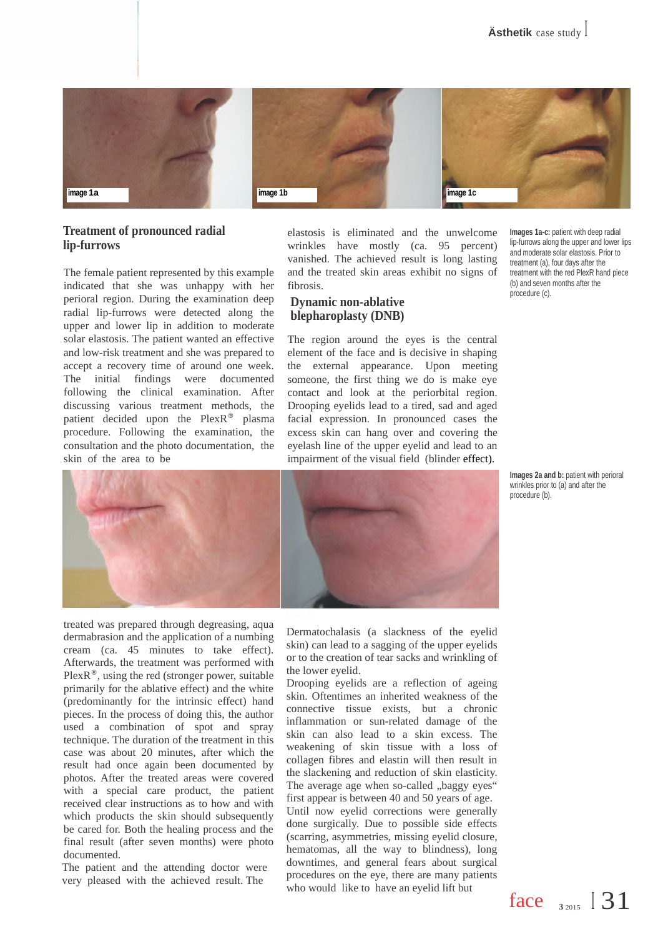

### **Treatment of pronounced radial lip-furrows**

The female patient represented by this example indicated that she was unhappy with her perioral region. During the examination deep radial lip-furrows were detected along the upper and lower lip in addition to moderate solar elastosis. The patient wanted an effective and low-risk treatment and she was prepared to accept a recovery time of around one week. The initial findings were documented following the clinical examination. After discussing various treatment methods, the patient decided upon the PlexR® plasma procedure. Following the examination, the consultation and the photo documentation, the skin of the area to be

elastosis is eliminated and the unwelcome wrinkles have mostly (ca. 95 percent) vanished. The achieved result is long lasting and the treated skin areas exhibit no signs of fibrosis.

#### **Dynamic non-ablative blepharoplasty (DNB)**

The region around the eyes is the central element of the face and is decisive in shaping the external appearance. Upon meeting someone, the first thing we do is make eye contact and look at the periorbital region. Drooping eyelids lead to a tired, sad and aged facial expression. In pronounced cases the excess skin can hang over and covering the eyelash line of the upper eyelid and lead to an impairment of the visual field (blinder effect).

**Images 1a-c:** patient with deep radial lip-furrows along the upper and lower lips and moderate solar elastosis. Prior to treatment (a), four days after the treatment with the red PlexR hand piece (b) and seven months after the procedure (c).

**Images 2a and b:** patient with perioral wrinkles prior to (a) and after the procedure (b).



treated was prepared through degreasing, aqua dermabrasion and the application of a numbing cream (ca. 45 minutes to take effect). Afterwards, the treatment was performed with PlexR®, using the red (stronger power, suitable primarily for the ablative effect) and the white (predominantly for the intrinsic effect) hand pieces. In the process of doing this, the author used a combination of spot and spray technique. The duration of the treatment in this case was about 20 minutes, after which the result had once again been documented by photos. After the treated areas were covered with a special care product, the patient received clear instructions as to how and with which products the skin should subsequently be cared for. Both the healing process and the final result (after seven months) were photo documented.

The patient and the attending doctor were very pleased with the achieved result. The

Dermatochalasis (a slackness of the eyelid skin) can lead to a sagging of the upper eyelids or to the creation of tear sacks and wrinkling of the lower eyelid.

Drooping eyelids are a reflection of ageing skin. Oftentimes an inherited weakness of the connective tissue exists, but a chronic inflammation or sun-related damage of the skin can also lead to a skin excess. The weakening of skin tissue with a loss of collagen fibres and elastin will then result in the slackening and reduction of skin elasticity. The average age when so-called "baggy eyes" first appear is between 40 and 50 years of age. Until now eyelid corrections were generally done surgically. Due to possible side effects (scarring, asymmetries, missing eyelid closure, hematomas, all the way to blindness), long downtimes, and general fears about surgical procedures on the eye, there are many patients who would like to have an eyelid lift but